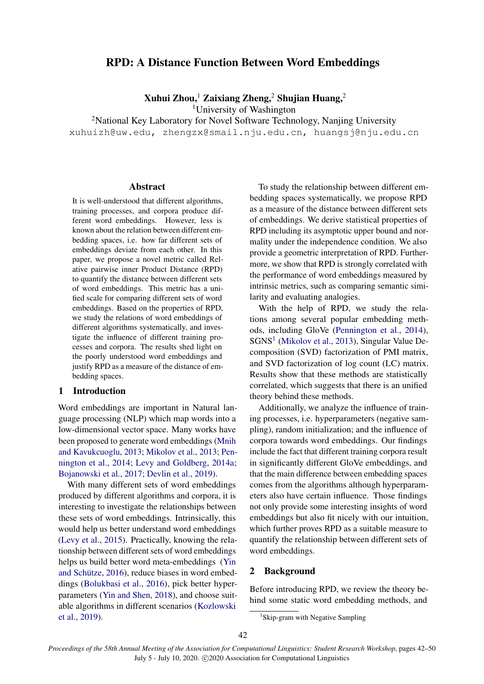# RPD: A Distance Function Between Word Embeddings

Xuhui Zhou,<sup>1</sup> Zaixiang Zheng,<sup>2</sup> Shujian Huang,<sup>2</sup>

<sup>1</sup>University of Washington

<sup>2</sup>National Key Laboratory for Novel Software Technology, Nanjing University xuhuizh@uw.edu, zhengzx@smail.nju.edu.cn, huangsj@nju.edu.cn

#### Abstract

It is well-understood that different algorithms, training processes, and corpora produce different word embeddings. However, less is known about the relation between different embedding spaces, i.e. how far different sets of embeddings deviate from each other. In this paper, we propose a novel metric called Relative pairwise inner Product Distance (RPD) to quantify the distance between different sets of word embeddings. This metric has a unified scale for comparing different sets of word embeddings. Based on the properties of RPD, we study the relations of word embeddings of different algorithms systematically, and investigate the influence of different training processes and corpora. The results shed light on the poorly understood word embeddings and justify RPD as a measure of the distance of embedding spaces.

### 1 Introduction

Word embeddings are important in Natural language processing (NLP) which map words into a low-dimensional vector space. Many works have been proposed to generate word embeddings [\(Mnih](#page-6-0) [and Kavukcuoglu,](#page-6-0) [2013;](#page-6-0) [Mikolov et al.,](#page-6-1) [2013;](#page-6-1) [Pen](#page-6-2)[nington et al.,](#page-6-2) [2014;](#page-6-2) [Levy and Goldberg,](#page-6-3) [2014a;](#page-6-3) [Bojanowski et al.,](#page-5-0) [2017;](#page-5-0) [Devlin et al.,](#page-6-4) [2019\)](#page-6-4).

With many different sets of word embeddings produced by different algorithms and corpora, it is interesting to investigate the relationships between these sets of word embeddings. Intrinsically, this would help us better understand word embeddings [\(Levy et al.,](#page-6-5) [2015\)](#page-6-5). Practically, knowing the relationship between different sets of word embeddings helps us build better word meta-embeddings [\(Yin](#page-7-0) and Schütze, [2016\)](#page-7-0), reduce biases in word embeddings [\(Bolukbasi et al.,](#page-5-1) [2016\)](#page-5-1), pick better hyperparameters [\(Yin and Shen,](#page-7-1) [2018\)](#page-7-1), and choose suitable algorithms in different scenarios [\(Kozlowski](#page-6-6) [et al.,](#page-6-6) [2019\)](#page-6-6).

To study the relationship between different embedding spaces systematically, we propose RPD as a measure of the distance between different sets of embeddings. We derive statistical properties of RPD including its asymptotic upper bound and normality under the independence condition. We also provide a geometric interpretation of RPD. Furthermore, we show that RPD is strongly correlated with the performance of word embeddings measured by intrinsic metrics, such as comparing semantic similarity and evaluating analogies.

With the help of RPD, we study the relations among several popular embedding methods, including GloVe [\(Pennington et al.,](#page-6-2) [2014\)](#page-6-2), SGNS<sup>[1](#page-0-0)</sup> [\(Mikolov et al.,](#page-6-1) [2013\)](#page-6-1), Singular Value Decomposition (SVD) factorization of PMI matrix, and SVD factorization of log count (LC) matrix. Results show that these methods are statistically correlated, which suggests that there is an unified theory behind these methods.

Additionally, we analyze the influence of training processes, i.e. hyperparameters (negative sampling), random initialization; and the influence of corpora towards word embeddings. Our findings include the fact that different training corpora result in significantly different GloVe embeddings, and that the main difference between embedding spaces comes from the algorithms although hyperparameters also have certain influence. Those findings not only provide some interesting insights of word embeddings but also fit nicely with our intuition, which further proves RPD as a suitable measure to quantify the relationship between different sets of word embeddings.

### 2 Background

Before introducing RPD, we review the theory behind some static word embedding methods, and

<span id="page-0-0"></span><sup>&</sup>lt;sup>1</sup>Skip-gram with Negative Sampling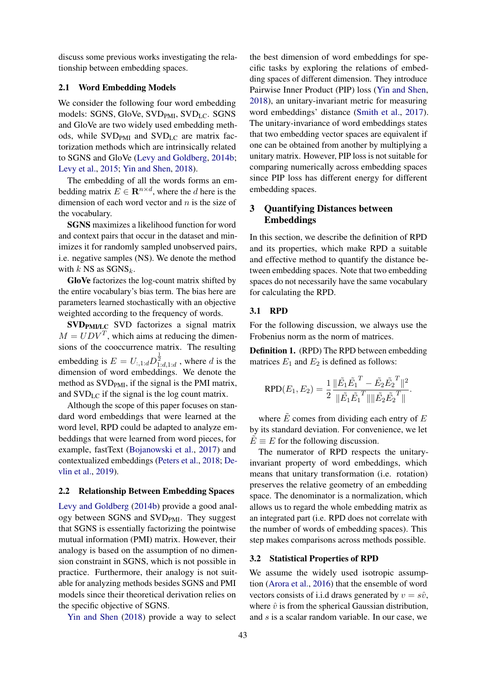discuss some previous works investigating the relationship between embedding spaces.

### 2.1 Word Embedding Models

We consider the following four word embedding models: SGNS, GloVe, SVD<sub>PMI</sub>, SVD<sub>LC</sub>. SGNS and GloVe are two widely used embedding methods, while  $SVD<sub>PMI</sub>$  and  $SVD<sub>LC</sub>$  are matrix factorization methods which are intrinsically related to SGNS and GloVe [\(Levy and Goldberg,](#page-6-7) [2014b;](#page-6-7) [Levy et al.,](#page-6-5) [2015;](#page-6-5) [Yin and Shen,](#page-7-1) [2018\)](#page-7-1).

The embedding of all the words forms an embedding matrix  $E \in \mathbf{R}^{n \times d}$ , where the d here is the dimension of each word vector and  $n$  is the size of the vocabulary.

SGNS maximizes a likelihood function for word and context pairs that occur in the dataset and minimizes it for randomly sampled unobserved pairs, i.e. negative samples (NS). We denote the method with  $k$  NS as  $SGNS_k$ .

GloVe factorizes the log-count matrix shifted by the entire vocabulary's bias term. The bias here are parameters learned stochastically with an objective weighted according to the frequency of words.

SVD<sub>PMI/LC</sub> SVD factorizes a signal matrix  $M = UDV^T$ , which aims at reducing the dimensions of the cooccurrence matrix. The resulting embedding is  $E = U_{:, 1:d} D^{\frac{1}{2}}_{1:d, 1:d}$  , where  $d$  is the dimension of word embeddings. We denote the method as  $SVD<sub>PMI</sub>$ , if the signal is the PMI matrix, and SVDLC if the signal is the log count matrix.

Although the scope of this paper focuses on standard word embeddings that were learned at the word level, RPD could be adapted to analyze embeddings that were learned from word pieces, for example, fastText [\(Bojanowski et al.,](#page-5-0) [2017\)](#page-5-0) and contextualized embeddings [\(Peters et al.,](#page-6-8) [2018;](#page-6-8) [De](#page-6-4)[vlin et al.,](#page-6-4) [2019\)](#page-6-4).

#### 2.2 Relationship Between Embedding Spaces

[Levy and Goldberg](#page-6-7) [\(2014b\)](#page-6-7) provide a good analogy between SGNS and SVD<sub>PMI</sub>. They suggest that SGNS is essentially factorizing the pointwise mutual information (PMI) matrix. However, their analogy is based on the assumption of no dimension constraint in SGNS, which is not possible in practice. Furthermore, their analogy is not suitable for analyzing methods besides SGNS and PMI models since their theoretical derivation relies on the specific objective of SGNS.

[Yin and Shen](#page-7-1) [\(2018\)](#page-7-1) provide a way to select

the best dimension of word embeddings for specific tasks by exploring the relations of embedding spaces of different dimension. They introduce Pairwise Inner Product (PIP) loss [\(Yin and Shen,](#page-7-1) [2018\)](#page-7-1), an unitary-invariant metric for measuring word embeddings' distance [\(Smith et al.,](#page-6-9) [2017\)](#page-6-9). The unitary-invariance of word embeddings states that two embedding vector spaces are equivalent if one can be obtained from another by multiplying a unitary matrix. However, PIP loss is not suitable for comparing numerically across embedding spaces since PIP loss has different energy for different embedding spaces.

# 3 Quantifying Distances between Embeddings

In this section, we describe the definition of RPD and its properties, which make RPD a suitable and effective method to quantify the distance between embedding spaces. Note that two embedding spaces do not necessarily have the same vocabulary for calculating the RPD.

### 3.1 RPD

For the following discussion, we always use the Frobenius norm as the norm of matrices.

Definition 1. (RPD) The RPD between embedding matrices  $E_1$  and  $E_2$  is defined as follows:

$$
\text{RPD}(E_1, E_2) = \frac{1}{2} \frac{\|\tilde{E_1}\tilde{E_1}^T - \tilde{E_2}\tilde{E_2}^T\|^2}{\|\tilde{E_1}\tilde{E_1}^T\| \|\tilde{E_2}\tilde{E_2}^T\|}.
$$

where  $\tilde{E}$  comes from dividing each entry of  $E$ by its standard deviation. For convenience, we let  $\tilde{E} \equiv E$  for the following discussion.

The numerator of RPD respects the unitaryinvariant property of word embeddings, which means that unitary transformation (i.e. rotation) preserves the relative geometry of an embedding space. The denominator is a normalization, which allows us to regard the whole embedding matrix as an integrated part (i.e. RPD does not correlate with the number of words of embedding spaces). This step makes comparisons across methods possible.

### 3.2 Statistical Properties of RPD

We assume the widely used isotropic assumption [\(Arora et al.,](#page-5-2) [2016\)](#page-5-2) that the ensemble of word vectors consists of i.i.d draws generated by  $v = s\hat{v}$ , where  $\hat{v}$  is from the spherical Gaussian distribution, and s is a scalar random variable. In our case, we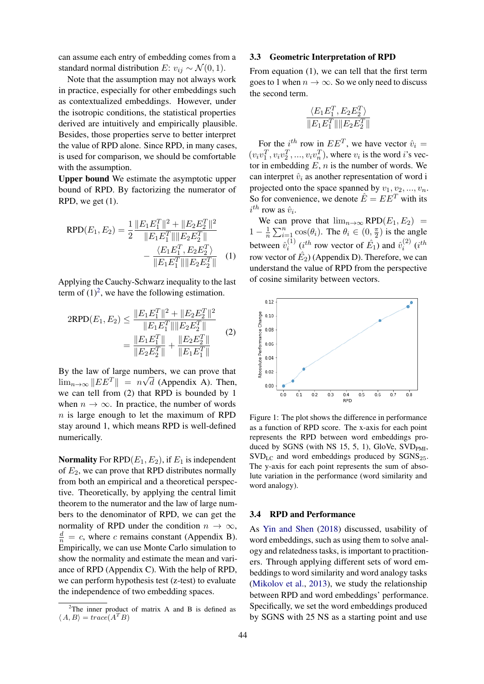can assume each entry of embedding comes from a standard normal distribution E:  $v_{ij} \sim \mathcal{N}(0, 1)$ .

Note that the assumption may not always work in practice, especially for other embeddings such as contextualized embeddings. However, under the isotropic conditions, the statistical properties derived are intuitively and empirically plausible. Besides, those properties serve to better interpret the value of RPD alone. Since RPD, in many cases, is used for comparison, we should be comfortable with the assumption.

Upper bound We estimate the asymptotic upper bound of RPD. By factorizing the numerator of RPD, we get (1).

$$
RPD(E_1, E_2) = \frac{1}{2} \frac{\|E_1 E_1^T\|^2 + \|E_2 E_2^T\|^2}{\|E_1 E_1^T\| \|E_2 E_2^T\|} - \frac{\langle E_1 E_1^T, E_2 E_2^T \rangle}{\|E_1 E_1^T\| \|E_2 E_2^T\|} \quad (1)
$$

Applying the Cauchy-Schwarz inequality to the last term of  $(1)^2$  $(1)^2$ , we have the following estimation.

$$
2RPD(E_1, E_2) \le \frac{\|E_1 E_1^T\|^2 + \|E_2 E_2^T\|^2}{\|E_1 E_1^T\| \|E_2 E_2^T\|} = \frac{\|E_1 E_1^T\| + \|E_2 E_2^T\|}{\|E_2 E_2^T\|} + \frac{\|E_2 E_2^T\|}{\|E_1 E_1^T\|}
$$
\n(2)

By the law of large numbers, we can prove that  $\lim_{n\to\infty}$   $||EE^T|| = n\sqrt{d}$  (Appendix A). Then, we can tell from (2) that RPD is bounded by 1 when  $n \to \infty$ . In practice, the number of words  $n$  is large enough to let the maximum of RPD stay around 1, which means RPD is well-defined numerically.

**Normality** For  $RPD(E_1, E_2)$ , if  $E_1$  is independent of  $E_2$ , we can prove that RPD distributes normally from both an empirical and a theoretical perspective. Theoretically, by applying the central limit theorem to the numerator and the law of large numbers to the denominator of RPD, we can get the normality of RPD under the condition  $n \to \infty$ ,  $\frac{d}{n} = c$ , where c remains constant (Appendix B). Empirically, we can use Monte Carlo simulation to show the normality and estimate the mean and variance of RPD (Appendix C). With the help of RPD, we can perform hypothesis test (z-test) to evaluate the independence of two embedding spaces.

### 3.3 Geometric Interpretation of RPD

From equation (1), we can tell that the first term goes to 1 when  $n \to \infty$ . So we only need to discuss the second term.

$$
\frac{\langle E_1 E_1^T, E_2 E_2^T \rangle}{\| E_1 E_1^T \| \| E_2 E_2^T \|}
$$

For the  $i^{th}$  row in  $EE^T$ , we have vector  $\hat{v}_i =$  $(v_i v_1^T, v_i v_2^T, ..., v_i v_n^T)$ , where  $v_i$  is the word *i*'s vector in embedding  $E$ ,  $n$  is the number of words. We can interpret  $\hat{v}_i$  as another representation of word i projected onto the space spanned by  $v_1, v_2, ..., v_n$ . So for convenience, we denote  $\hat{E} = E E^{T}$  with its  $i^{th}$  row as  $\hat{v}_i$ .

We can prove that  $\lim_{n\to\infty}$  RPD( $E_1, E_2$ ) =  $1-\frac{1}{n}$  $\frac{1}{n} \sum_{i=1}^{n} \cos(\theta_i)$ . The  $\theta_i \in (0, \frac{\pi}{2})$  $(\frac{\pi}{2})$  is the angle between  $\hat{v}_i^{(1)}$  $i^{(1)}$  ( $i^{th}$  row vector of  $\hat{E_1}$ ) and  $\hat{v}_i^{(2)}$  $\binom{2}{i}$  (i<sup>th</sup> row vector of  $\hat{E_2}$ ) (Appendix D). Therefore, we can understand the value of RPD from the perspective of cosine similarity between vectors.

<span id="page-2-1"></span>

Figure 1: The plot shows the difference in performance as a function of RPD score. The x-axis for each point represents the RPD between word embeddings produced by SGNS (with NS 15, 5, 1), GloVe,  $SVD<sub>PMI</sub>$ ,  $SVD_{LC}$  and word embeddings produced by  $SGNS_{25}$ . The y-axis for each point represents the sum of absolute variation in the performance (word similarity and word analogy).

#### 3.4 RPD and Performance

As [Yin and Shen](#page-7-1) [\(2018\)](#page-7-1) discussed, usability of word embeddings, such as using them to solve analogy and relatedness tasks, is important to practitioners. Through applying different sets of word embeddings to word similarity and word analogy tasks [\(Mikolov et al.,](#page-6-1) [2013\)](#page-6-1), we study the relationship between RPD and word embeddings' performance. Specifically, we set the word embeddings produced by SGNS with 25 NS as a starting point and use

<span id="page-2-0"></span> $2$ The inner product of matrix A and B is defined as  $\langle A, B \rangle = trace(A^{T}B)$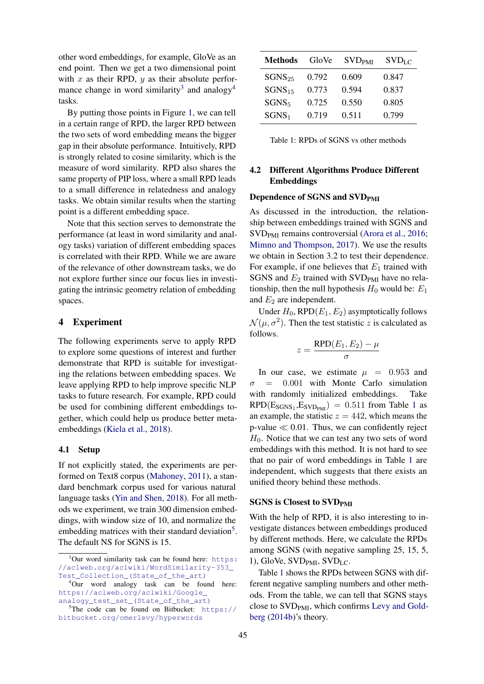other word embeddings, for example, GloVe as an end point. Then we get a two dimensional point with x as their RPD,  $y$  as their absolute perfor-mance change in word similarity<sup>[3](#page-3-0)</sup> and analogy<sup>[4](#page-3-1)</sup> tasks.

By putting those points in Figure [1,](#page-2-1) we can tell in a certain range of RPD, the larger RPD between the two sets of word embedding means the bigger gap in their absolute performance. Intuitively, RPD is strongly related to cosine similarity, which is the measure of word similarity. RPD also shares the same property of PIP loss, where a small RPD leads to a small difference in relatedness and analogy tasks. We obtain similar results when the starting point is a different embedding space.

Note that this section serves to demonstrate the performance (at least in word similarity and analogy tasks) variation of different embedding spaces is correlated with their RPD. While we are aware of the relevance of other downstream tasks, we do not explore further since our focus lies in investigating the intrinsic geometry relation of embedding spaces.

### 4 Experiment

The following experiments serve to apply RPD to explore some questions of interest and further demonstrate that RPD is suitable for investigating the relations between embedding spaces. We leave applying RPD to help improve specific NLP tasks to future research. For example, RPD could be used for combining different embeddings together, which could help us produce better metaembeddings [\(Kiela et al.,](#page-6-10) [2018\)](#page-6-10).

### 4.1 Setup

If not explicitly stated, the experiments are performed on Text8 corpus [\(Mahoney,](#page-6-11) [2011\)](#page-6-11), a standard benchmark corpus used for various natural language tasks [\(Yin and Shen,](#page-7-1) [2018\)](#page-7-1). For all methods we experiment, we train 300 dimension embeddings, with window size of 10, and normalize the embedding matrices with their standard deviation<sup>[5](#page-3-2)</sup>. The default NS for SGNS is 15.

<span id="page-3-3"></span>

| Methods           | GloVe | <b>SVD</b> <sub>PMI</sub> | $SVD_{LC}$ |
|-------------------|-------|---------------------------|------------|
| $SGNS_{25}$       | 0.792 | 0.609                     | 0.847      |
| $SGNS_{15}$       | 0.773 | 0.594                     | 0.837      |
| SGNS <sub>5</sub> | 0.725 | 0.550                     | 0.805      |
| SGNS <sub>1</sub> | 0.719 | 0.511                     | 0.799      |

Table 1: RPDs of SGNS vs other methods

# 4.2 Different Algorithms Produce Different Embeddings

### Dependence of SGNS and SVD<sub>PMI</sub>

As discussed in the introduction, the relationship between embeddings trained with SGNS and SVD<sub>PMI</sub> remains controversial [\(Arora et al.,](#page-5-2) [2016;](#page-5-2) [Mimno and Thompson,](#page-6-12) [2017\)](#page-6-12). We use the results we obtain in Section 3.2 to test their dependence. For example, if one believes that  $E_1$  trained with SGNS and  $E_2$  trained with SVD<sub>PMI</sub> have no relationship, then the null hypothesis  $H_0$  would be:  $E_1$ and  $E_2$  are independent.

Under  $H_0$ , RPD $(E_1, E_2)$  asymptotically follows  $\mathcal{N}(\mu, \sigma^2)$ . Then the test statistic z is calculated as follows.

$$
z = \frac{\text{RPD}(E_1, E_2) - \mu}{\sigma}
$$

In our case, we estimate  $\mu$  = 0.953 and  $\sigma = 0.001$  with Monte Carlo simulation with randomly initialized embeddings. Take  $RPD(E_{SGNS_1}, E_{SVD_{PMI}}) = 0.511$  $RPD(E_{SGNS_1}, E_{SVD_{PMI}}) = 0.511$  $RPD(E_{SGNS_1}, E_{SVD_{PMI}}) = 0.511$  from Table 1 as an example, the statistic  $z = 442$ , which means the p-value  $\ll 0.01$ . Thus, we can confidently reject  $H_0$ . Notice that we can test any two sets of word embeddings with this method. It is not hard to see that no pair of word embeddings in Table [1](#page-3-3) are independent, which suggests that there exists an unified theory behind these methods.

# **SGNS** is Closest to SVD<sub>PMI</sub>

With the help of RPD, it is also interesting to investigate distances between embeddings produced by different methods. Here, we calculate the RPDs among SGNS (with negative sampling 25, 15, 5, 1), GloVe, SVD<sub>PMI</sub>, SVD<sub>LC</sub>.

Table [1](#page-3-3) shows the RPDs between SGNS with different negative sampling numbers and other methods. From the table, we can tell that SGNS stays close to  $SVD<sub>PMI</sub>$ , which confirms [Levy and Gold](#page-6-7)[berg](#page-6-7) [\(2014b\)](#page-6-7)'s theory.

<span id="page-3-0"></span> $3$ Our word similarity task can be found here: [https:]( https://aclweb.org/aclwiki/WordSimilarity-353_Test_Collection_(State_of_the_art)) [//aclweb.org/aclwiki/WordSimilarity-353\\_]( https://aclweb.org/aclwiki/WordSimilarity-353_Test_Collection_(State_of_the_art)) [Test\\_Collection\\_\(State\\_of\\_the\\_art\)]( https://aclweb.org/aclwiki/WordSimilarity-353_Test_Collection_(State_of_the_art))

<span id="page-3-1"></span><sup>4</sup>Our word analogy task can be found here: [https://aclweb.org/aclwiki/Google\\_]( https://aclweb.org/aclwiki/Google_analogy_test_set_(State_of_the_art)) [analogy\\_test\\_set\\_\(State\\_of\\_the\\_art\)]( https://aclweb.org/aclwiki/Google_analogy_test_set_(State_of_the_art))

<span id="page-3-2"></span> $5$ The code can be found on Bitbucket: [https://](https://bitbucket.org/omerlevy/hyperwords) [bitbucket.org/omerlevy/hyperwords](https://bitbucket.org/omerlevy/hyperwords)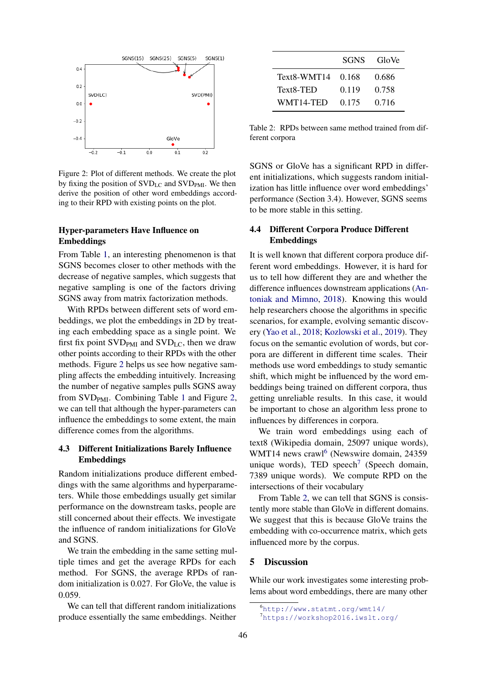<span id="page-4-0"></span>

Figure 2: Plot of different methods. We create the plot by fixing the position of  $SVD_{LC}$  and  $SVD_{PMI}$ . We then derive the position of other word embeddings according to their RPD with existing points on the plot.

### Hyper-parameters Have Influence on Embeddings

From Table [1,](#page-3-3) an interesting phenomenon is that SGNS becomes closer to other methods with the decrease of negative samples, which suggests that negative sampling is one of the factors driving SGNS away from matrix factorization methods.

With RPDs between different sets of word embeddings, we plot the embeddings in 2D by treating each embedding space as a single point. We first fix point  $SVD<sub>PMI</sub>$  and  $SVD<sub>LC</sub>$ , then we draw other points according to their RPDs with the other methods. Figure [2](#page-4-0) helps us see how negative sampling affects the embedding intuitively. Increasing the number of negative samples pulls SGNS away from SVD<sub>PMI</sub>. Combining Table [1](#page-3-3) and Figure [2,](#page-4-0) we can tell that although the hyper-parameters can influence the embeddings to some extent, the main difference comes from the algorithms.

## 4.3 Different Initializations Barely Influence Embeddings

Random initializations produce different embeddings with the same algorithms and hyperparameters. While those embeddings usually get similar performance on the downstream tasks, people are still concerned about their effects. We investigate the influence of random initializations for GloVe and SGNS.

We train the embedding in the same setting multiple times and get the average RPDs for each method. For SGNS, the average RPDs of random initialization is 0.027. For GloVe, the value is 0.059.

We can tell that different random initializations produce essentially the same embeddings. Neither

<span id="page-4-3"></span>

|                   | <b>SGNS</b> | GloVe |
|-------------------|-------------|-------|
| Text8-WMT14 0.168 |             | 0.686 |
| Text8-TED         | 0.119       | 0.758 |
| WMT14-TED         | 0.175       | 0.716 |

Table 2: RPDs between same method trained from different corpora

SGNS or GloVe has a significant RPD in different initializations, which suggests random initialization has little influence over word embeddings' performance (Section 3.4). However, SGNS seems to be more stable in this setting.

# 4.4 Different Corpora Produce Different Embeddings

It is well known that different corpora produce different word embeddings. However, it is hard for us to tell how different they are and whether the difference influences downstream applications [\(An](#page-5-3)[toniak and Mimno,](#page-5-3) [2018\)](#page-5-3). Knowing this would help researchers choose the algorithms in specific scenarios, for example, evolving semantic discovery [\(Yao et al.,](#page-7-2) [2018;](#page-7-2) [Kozlowski et al.,](#page-6-6) [2019\)](#page-6-6). They focus on the semantic evolution of words, but corpora are different in different time scales. Their methods use word embeddings to study semantic shift, which might be influenced by the word embeddings being trained on different corpora, thus getting unreliable results. In this case, it would be important to chose an algorithm less prone to influences by differences in corpora.

We train word embeddings using each of text8 (Wikipedia domain, 25097 unique words), WMT14 news crawl<sup>[6](#page-4-1)</sup> (Newswire domain, 24359 unique words), TED speech<sup>[7](#page-4-2)</sup> (Speech domain, 7389 unique words). We compute RPD on the intersections of their vocabulary

From Table [2,](#page-4-3) we can tell that SGNS is consistently more stable than GloVe in different domains. We suggest that this is because GloVe trains the embedding with co-occurrence matrix, which gets influenced more by the corpus.

### 5 Discussion

While our work investigates some interesting problems about word embeddings, there are many other

<span id="page-4-1"></span><sup>6</sup><http://www.statmt.org/wmt14/>

<span id="page-4-2"></span><sup>7</sup><https://workshop2016.iwslt.org/>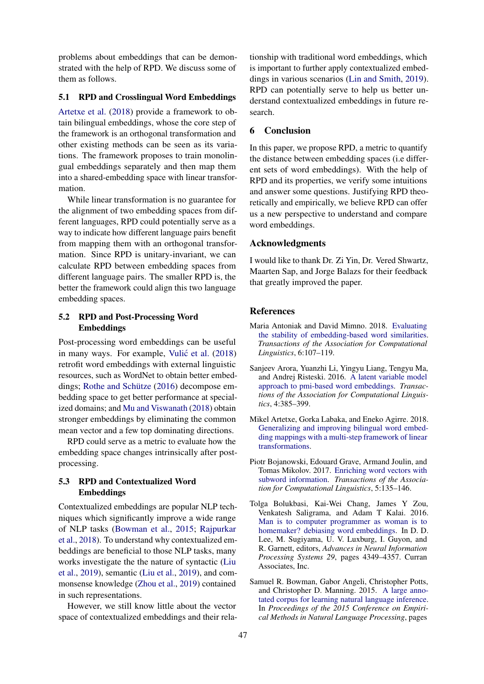problems about embeddings that can be demonstrated with the help of RPD. We discuss some of them as follows.

### 5.1 RPD and Crosslingual Word Embeddings

[Artetxe et al.](#page-5-4) [\(2018\)](#page-5-4) provide a framework to obtain bilingual embeddings, whose the core step of the framework is an orthogonal transformation and other existing methods can be seen as its variations. The framework proposes to train monolingual embeddings separately and then map them into a shared-embedding space with linear transformation.

While linear transformation is no guarantee for the alignment of two embedding spaces from different languages, RPD could potentially serve as a way to indicate how different language pairs benefit from mapping them with an orthogonal transformation. Since RPD is unitary-invariant, we can calculate RPD between embedding spaces from different language pairs. The smaller RPD is, the better the framework could align this two language embedding spaces.

### 5.2 RPD and Post-Processing Word Embeddings

Post-processing word embeddings can be useful in many ways. For example, Vulić et al.  $(2018)$ retrofit word embeddings with external linguistic resources, such as WordNet to obtain better embeddings; Rothe and Schütze  $(2016)$  decompose embedding space to get better performance at specialized domains; and [Mu and Viswanath](#page-6-15) [\(2018\)](#page-6-15) obtain stronger embeddings by eliminating the common mean vector and a few top dominating directions.

RPD could serve as a metric to evaluate how the embedding space changes intrinsically after postprocessing.

# 5.3 RPD and Contextualized Word Embeddings

Contextualized embeddings are popular NLP techniques which significantly improve a wide range of NLP tasks [\(Bowman et al.,](#page-5-5) [2015;](#page-5-5) [Rajpurkar](#page-6-16) [et al.,](#page-6-16) [2018\)](#page-6-16). To understand why contextualized embeddings are beneficial to those NLP tasks, many works investigate the the nature of syntactic [\(Liu](#page-6-17) [et al.,](#page-6-17) [2019\)](#page-6-17), semantic [\(Liu et al.,](#page-6-17) [2019\)](#page-6-17), and commonsense knowledge [\(Zhou et al.,](#page-7-3) [2019\)](#page-7-3) contained in such representations.

However, we still know little about the vector space of contextualized embeddings and their rela-

tionship with traditional word embeddings, which is important to further apply contextualized embeddings in various scenarios [\(Lin and Smith,](#page-6-18) [2019\)](#page-6-18). RPD can potentially serve to help us better understand contextualized embeddings in future research.

# 6 Conclusion

In this paper, we propose RPD, a metric to quantify the distance between embedding spaces (i.e different sets of word embeddings). With the help of RPD and its properties, we verify some intuitions and answer some questions. Justifying RPD theoretically and empirically, we believe RPD can offer us a new perspective to understand and compare word embeddings.

### Acknowledgments

I would like to thank Dr. Zi Yin, Dr. Vered Shwartz, Maarten Sap, and Jorge Balazs for their feedback that greatly improved the paper.

### References

- <span id="page-5-3"></span>Maria Antoniak and David Mimno. 2018. [Evaluating](https://transacl.org/ojs/index.php/tacl/article/view/1202) [the stability of embedding-based word similarities.](https://transacl.org/ojs/index.php/tacl/article/view/1202) *Transactions of the Association for Computational Linguistics*, 6:107–119.
- <span id="page-5-2"></span>Sanjeev Arora, Yuanzhi Li, Yingyu Liang, Tengyu Ma, and Andrej Risteski. 2016. [A latent variable model](https://transacl.org/ojs/index.php/tacl/article/view/742) [approach to pmi-based word embeddings.](https://transacl.org/ojs/index.php/tacl/article/view/742) *Transactions of the Association for Computational Linguistics*, 4:385–399.
- <span id="page-5-4"></span>Mikel Artetxe, Gorka Labaka, and Eneko Agirre. 2018. [Generalizing and improving bilingual word embed](https://www.aaai.org/ocs/index.php/AAAI/AAAI18/paper/view/16935/16781)[ding mappings with a multi-step framework of linear](https://www.aaai.org/ocs/index.php/AAAI/AAAI18/paper/view/16935/16781) [transformations.](https://www.aaai.org/ocs/index.php/AAAI/AAAI18/paper/view/16935/16781)
- <span id="page-5-0"></span>Piotr Bojanowski, Edouard Grave, Armand Joulin, and Tomas Mikolov. 2017. [Enriching word vectors with](https://doi.org/10.1162/tacl_a_00051) [subword information.](https://doi.org/10.1162/tacl_a_00051) *Transactions of the Association for Computational Linguistics*, 5:135–146.
- <span id="page-5-1"></span>Tolga Bolukbasi, Kai-Wei Chang, James Y Zou, Venkatesh Saligrama, and Adam T Kalai. 2016. [Man is to computer programmer as woman is to](http://papers.nips.cc/paper/6228-man-is-to-computer-programmer-as-woman-is-to-homemaker-debiasing-word-embeddings.pdf) [homemaker? debiasing word embeddings.](http://papers.nips.cc/paper/6228-man-is-to-computer-programmer-as-woman-is-to-homemaker-debiasing-word-embeddings.pdf) In D. D. Lee, M. Sugiyama, U. V. Luxburg, I. Guyon, and R. Garnett, editors, *Advances in Neural Information Processing Systems 29*, pages 4349–4357. Curran Associates, Inc.
- <span id="page-5-5"></span>Samuel R. Bowman, Gabor Angeli, Christopher Potts, and Christopher D. Manning. 2015. [A large anno](https://doi.org/10.18653/v1/D15-1075)[tated corpus for learning natural language inference.](https://doi.org/10.18653/v1/D15-1075) In *Proceedings of the 2015 Conference on Empirical Methods in Natural Language Processing*, pages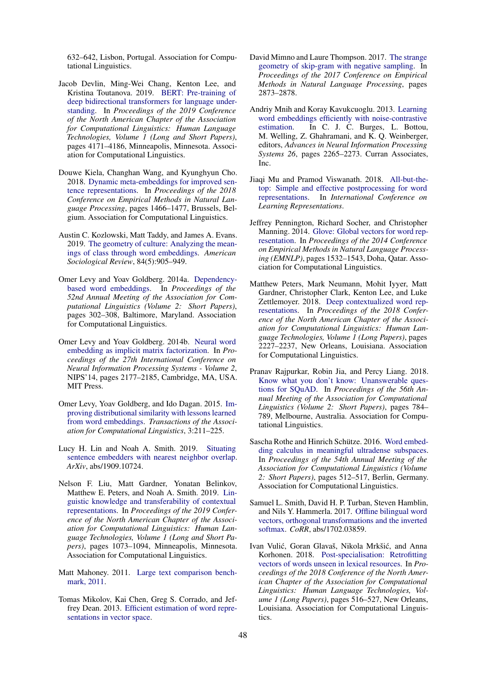632–642, Lisbon, Portugal. Association for Computational Linguistics.

- <span id="page-6-4"></span>Jacob Devlin, Ming-Wei Chang, Kenton Lee, and Kristina Toutanova. 2019. [BERT: Pre-training of](https://doi.org/10.18653/v1/N19-1423) [deep bidirectional transformers for language under](https://doi.org/10.18653/v1/N19-1423)[standing.](https://doi.org/10.18653/v1/N19-1423) In *Proceedings of the 2019 Conference of the North American Chapter of the Association for Computational Linguistics: Human Language Technologies, Volume 1 (Long and Short Papers)*, pages 4171–4186, Minneapolis, Minnesota. Association for Computational Linguistics.
- <span id="page-6-10"></span>Douwe Kiela, Changhan Wang, and Kyunghyun Cho. 2018. [Dynamic meta-embeddings for improved sen](https://doi.org/10.18653/v1/D18-1176)[tence representations.](https://doi.org/10.18653/v1/D18-1176) In *Proceedings of the 2018 Conference on Empirical Methods in Natural Language Processing*, pages 1466–1477, Brussels, Belgium. Association for Computational Linguistics.
- <span id="page-6-6"></span>Austin C. Kozlowski, Matt Taddy, and James A. Evans. 2019. [The geometry of culture: Analyzing the mean](https://doi.org/10.1177/0003122419877135)[ings of class through word embeddings.](https://doi.org/10.1177/0003122419877135) *American Sociological Review*, 84(5):905–949.
- <span id="page-6-3"></span>Omer Levy and Yoav Goldberg. 2014a. [Dependency](https://doi.org/10.3115/v1/P14-2050)[based word embeddings.](https://doi.org/10.3115/v1/P14-2050) In *Proceedings of the 52nd Annual Meeting of the Association for Computational Linguistics (Volume 2: Short Papers)*, pages 302–308, Baltimore, Maryland. Association for Computational Linguistics.
- <span id="page-6-7"></span>Omer Levy and Yoav Goldberg. 2014b. [Neural word](http://dl.acm.org/citation.cfm?id=2969033.2969070) [embedding as implicit matrix factorization.](http://dl.acm.org/citation.cfm?id=2969033.2969070) In *Proceedings of the 27th International Conference on Neural Information Processing Systems - Volume 2*, NIPS'14, pages 2177–2185, Cambridge, MA, USA. MIT Press.
- <span id="page-6-5"></span>Omer Levy, Yoav Goldberg, and Ido Dagan. 2015. [Im](https://doi.org/10.1162/tacl_a_00134)[proving distributional similarity with lessons learned](https://doi.org/10.1162/tacl_a_00134) [from word embeddings.](https://doi.org/10.1162/tacl_a_00134) *Transactions of the Association for Computational Linguistics*, 3:211–225.
- <span id="page-6-18"></span>Lucy H. Lin and Noah A. Smith. 2019. [Situating](https://arxiv.org/abs/1909.10724) [sentence embedders with nearest neighbor overlap.](https://arxiv.org/abs/1909.10724) *ArXiv*, abs/1909.10724.
- <span id="page-6-17"></span>Nelson F. Liu, Matt Gardner, Yonatan Belinkov, Matthew E. Peters, and Noah A. Smith. 2019. [Lin](https://doi.org/10.18653/v1/N19-1112)[guistic knowledge and transferability of contextual](https://doi.org/10.18653/v1/N19-1112) [representations.](https://doi.org/10.18653/v1/N19-1112) In *Proceedings of the 2019 Conference of the North American Chapter of the Association for Computational Linguistics: Human Language Technologies, Volume 1 (Long and Short Papers)*, pages 1073–1094, Minneapolis, Minnesota. Association for Computational Linguistics.
- <span id="page-6-11"></span>Matt Mahoney. 2011. [Large text comparison bench](http://mattmahoney.net/dc/textdata.html)[mark, 2011.](http://mattmahoney.net/dc/textdata.html)
- <span id="page-6-1"></span>Tomas Mikolov, Kai Chen, Greg S. Corrado, and Jeffrey Dean. 2013. [Efficient estimation of word repre](http://arxiv.org/abs/1301.3781)[sentations in vector space.](http://arxiv.org/abs/1301.3781)
- <span id="page-6-12"></span>David Mimno and Laure Thompson. 2017. [The strange](https://doi.org/10.18653/v1/D17-1308) [geometry of skip-gram with negative sampling.](https://doi.org/10.18653/v1/D17-1308) In *Proceedings of the 2017 Conference on Empirical Methods in Natural Language Processing*, pages 2873–2878.
- <span id="page-6-0"></span>Andriy Mnih and Koray Kavukcuoglu. 2013. [Learning](http://papers.nips.cc/paper/5165-learning-word-embeddings-efficiently-with-noise-contrastive-estimation.pdf) [word embeddings efficiently with noise-contrastive](http://papers.nips.cc/paper/5165-learning-word-embeddings-efficiently-with-noise-contrastive-estimation.pdf) [estimation.](http://papers.nips.cc/paper/5165-learning-word-embeddings-efficiently-with-noise-contrastive-estimation.pdf) In C. J. C. Burges, L. Bottou, M. Welling, Z. Ghahramani, and K. Q. Weinberger, editors, *Advances in Neural Information Processing Systems 26*, pages 2265–2273. Curran Associates, Inc.
- <span id="page-6-15"></span>Jiaqi Mu and Pramod Viswanath. 2018. [All-but-the](https://openreview.net/forum?id=HkuGJ3kCb)[top: Simple and effective postprocessing for word](https://openreview.net/forum?id=HkuGJ3kCb) [representations.](https://openreview.net/forum?id=HkuGJ3kCb) In *International Conference on Learning Representations*.
- <span id="page-6-2"></span>Jeffrey Pennington, Richard Socher, and Christopher Manning. 2014. [Glove: Global vectors for word rep](https://doi.org/10.3115/v1/D14-1162)[resentation.](https://doi.org/10.3115/v1/D14-1162) In *Proceedings of the 2014 Conference on Empirical Methods in Natural Language Processing (EMNLP)*, pages 1532–1543, Doha, Qatar. Association for Computational Linguistics.
- <span id="page-6-8"></span>Matthew Peters, Mark Neumann, Mohit Iyyer, Matt Gardner, Christopher Clark, Kenton Lee, and Luke Zettlemoyer. 2018. [Deep contextualized word rep](https://doi.org/10.18653/v1/N18-1202)[resentations.](https://doi.org/10.18653/v1/N18-1202) In *Proceedings of the 2018 Conference of the North American Chapter of the Association for Computational Linguistics: Human Language Technologies, Volume 1 (Long Papers)*, pages 2227–2237, New Orleans, Louisiana. Association for Computational Linguistics.
- <span id="page-6-16"></span>Pranav Rajpurkar, Robin Jia, and Percy Liang. 2018. [Know what you don't know: Unanswerable ques](https://doi.org/10.18653/v1/P18-2124)[tions for SQuAD.](https://doi.org/10.18653/v1/P18-2124) In *Proceedings of the 56th Annual Meeting of the Association for Computational Linguistics (Volume 2: Short Papers)*, pages 784– 789, Melbourne, Australia. Association for Computational Linguistics.
- <span id="page-6-14"></span>Sascha Rothe and Hinrich Schütze. 2016. [Word embed](https://doi.org/10.18653/v1/P16-2083)[ding calculus in meaningful ultradense subspaces.](https://doi.org/10.18653/v1/P16-2083) In *Proceedings of the 54th Annual Meeting of the Association for Computational Linguistics (Volume 2: Short Papers)*, pages 512–517, Berlin, Germany. Association for Computational Linguistics.
- <span id="page-6-9"></span>Samuel L. Smith, David H. P. Turban, Steven Hamblin, and Nils Y. Hammerla. 2017. [Offline bilingual word](http://arxiv.org/abs/1702.03859) [vectors, orthogonal transformations and the inverted](http://arxiv.org/abs/1702.03859) [softmax.](http://arxiv.org/abs/1702.03859) *CoRR*, abs/1702.03859.
- <span id="page-6-13"></span>Ivan Vulić, Goran Glavaš, Nikola Mrkšić, and Anna Korhonen. 2018. [Post-specialisation: Retrofitting](https://doi.org/10.18653/v1/N18-1048) [vectors of words unseen in lexical resources.](https://doi.org/10.18653/v1/N18-1048) In *Proceedings of the 2018 Conference of the North American Chapter of the Association for Computational Linguistics: Human Language Technologies, Volume 1 (Long Papers)*, pages 516–527, New Orleans, Louisiana. Association for Computational Linguistics.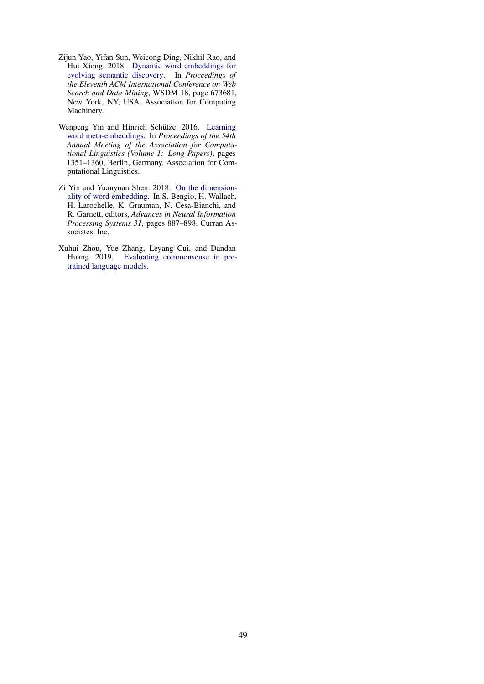- <span id="page-7-2"></span>Zijun Yao, Yifan Sun, Weicong Ding, Nikhil Rao, and Hui Xiong. 2018. [Dynamic word embeddings for](https://doi.org/10.1145/3159652.3159703) [evolving semantic discovery.](https://doi.org/10.1145/3159652.3159703) In *Proceedings of the Eleventh ACM International Conference on Web Search and Data Mining*, WSDM 18, page 673681, New York, NY, USA. Association for Computing Machinery.
- <span id="page-7-0"></span>Wenpeng Yin and Hinrich Schütze. 2016. [Learning](https://doi.org/10.18653/v1/P16-1128) [word meta-embeddings.](https://doi.org/10.18653/v1/P16-1128) In *Proceedings of the 54th Annual Meeting of the Association for Computational Linguistics (Volume 1: Long Papers)*, pages 1351–1360, Berlin, Germany. Association for Computational Linguistics.
- <span id="page-7-1"></span>Zi Yin and Yuanyuan Shen. 2018. [On the dimension](http://papers.nips.cc/paper/7368-on-the-dimensionality-of-word-embedding.pdf)[ality of word embedding.](http://papers.nips.cc/paper/7368-on-the-dimensionality-of-word-embedding.pdf) In S. Bengio, H. Wallach, H. Larochelle, K. Grauman, N. Cesa-Bianchi, and R. Garnett, editors, *Advances in Neural Information Processing Systems 31*, pages 887–898. Curran Associates, Inc.
- <span id="page-7-3"></span>Xuhui Zhou, Yue Zhang, Leyang Cui, and Dandan Huang. 2019. [Evaluating commonsense in pre](http://arxiv.org/abs/1911.11931)[trained language models.](http://arxiv.org/abs/1911.11931)